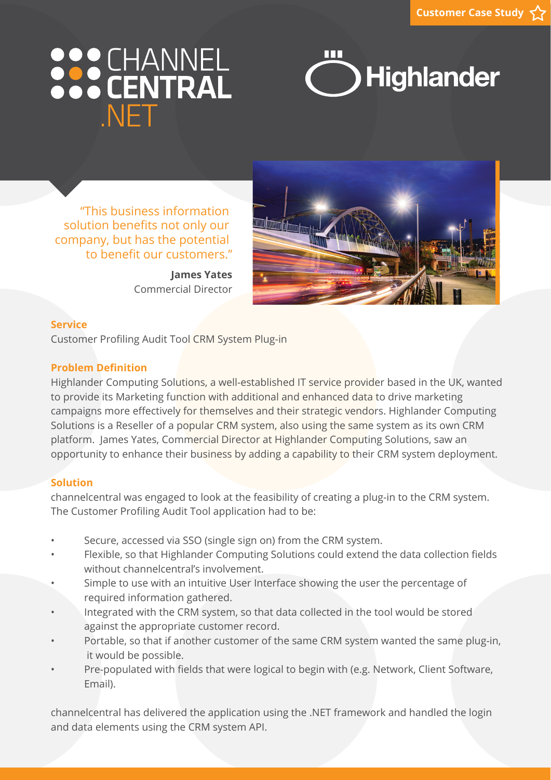# 888 CHANNEL **NFT**



 "This business information solution benefits not only our company, but has the potential to benefit our customers."

> **James Yates** Commercial Director



### **Service**

Customer Profiling Audit Tool CRM System Plug-in

### **Problem Definition**

Highlander Computing Solutions, a well-established IT service provider based in the UK, wanted to provide its Marketing function with additional and enhanced data to drive marketing campaigns more effectively for themselves and their strategic vendors. Highlander Computing Solutions is a Reseller of a popular CRM system, also using the same system as its own CRM platform. James Yates, Commercial Director at Highlander Computing Solutions, saw an opportunity to enhance their business by adding a capability to their CRM system deployment.

### **Solution**

channelcentral was engaged to look at the feasibility of creating a plug-in to the CRM system. The Customer Profiling Audit Tool application had to be:

- Secure, accessed via SSO (single sign on) from the CRM system.
- Flexible, so that Highlander Computing Solutions could extend the data collection fields without channelcentral's involvement.
- Simple to use with an intuitive User Interface showing the user the percentage of required information gathered.
- Integrated with the CRM system, so that data collected in the tool would be stored against the appropriate customer record.
- Portable, so that if another customer of the same CRM system wanted the same plug-in, it would be possible.
- Pre-populated with fields that were logical to begin with (e.g. Network, Client Software, Email).

channelcentral has delivered the application using the .NET framework and handled the login and data elements using the CRM system API.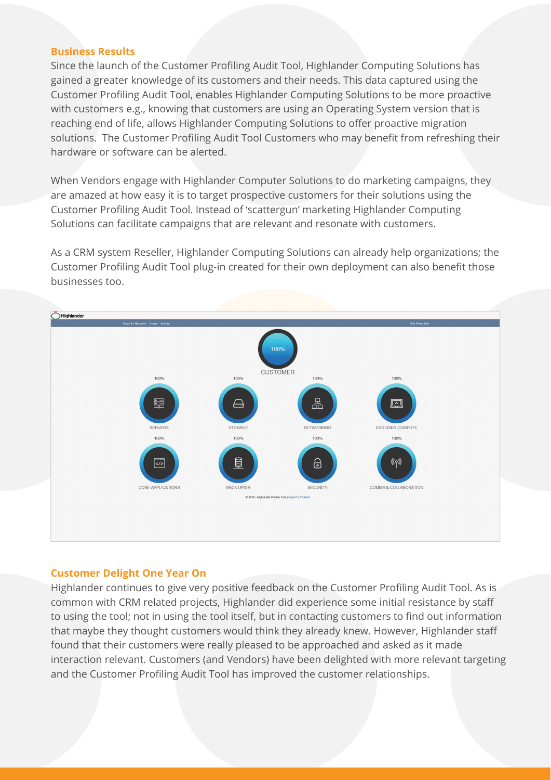### **Business Results**

Since the launch of the Customer Profiling Audit Tool, Highlander Computing Solutions has gained a greater knowledge of its customers and their needs. This data captured using the Customer Profiling Audit Tool, enables Highlander Computing Solutions to be more proactive with customers e.g., knowing that customers are using an Operating System version that is reaching end of life, allows Highlander Computing Solutions to offer proactive migration solutions. The Customer Profiling Audit Tool Customers who may benefit from refreshing their hardware or software can be alerted.

When Vendors engage with Highlander Computer Solutions to do marketing campaigns, they are amazed at how easy it is to target prospective customers for their solutions using the Customer Profiling Audit Tool. Instead of 'scattergun' marketing Highlander Computing Solutions can facilitate campaigns that are relevant and resonate with customers.

As a CRM system Reseller, Highlander Computing Solutions can already help organizations; the Customer Profiling Audit Tool plug-in created for their own deployment can also benefit those businesses too.



#### **Customer Delight One Year On**

Highlander continues to give very positive feedback on the Customer Profiling Audit Tool. As is common with CRM related projects, Highlander did experience some initial resistance by staff to using the tool; not in using the tool itself, but in contacting customers to find out information that maybe they thought customers would think they already knew. However, Highlander staff found that their customers were really pleased to be approached and asked as it made interaction relevant. Customers (and Vendors) have been delighted with more relevant targeting and the Customer Profiling Audit Tool has improved the customer relationships.